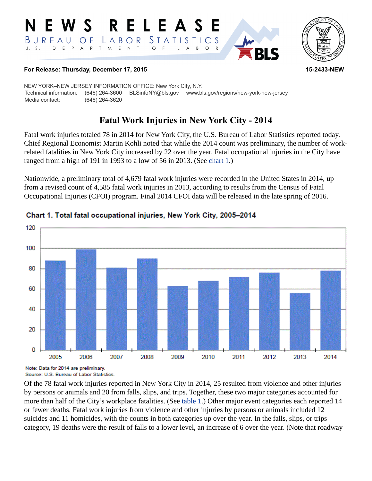



#### **For Release: Thursday, December 17, 2015 15-2433-NEW**

NEW YORK–NEW JERSEY INFORMATION OFFICE: New York City, N.Y. Technical information: (646) 264-3600 BLSinfoNY@bls.gov www.bls.gov/regions/new-york-new-jersey Media contact: (646) 264-3620

# **Fatal Work Injuries in New York City - 2014**

Fatal work injuries totaled 78 in 2014 for New York City, the U.S. Bureau of Labor Statistics reported today. Chief Regional Economist Martin Kohli noted that while the 2014 count was preliminary, the number of workrelated fatalities in New York City increased by 22 over the year. Fatal occupational injuries in the City have ranged from a high of 191 in 1993 to a low of 56 in 2013. (See [chart 1.](#page-0-0))

Nationwide, a preliminary total of 4,679 fatal work injuries were recorded in the United States in 2014, up from a revised count of 4,585 fatal work injuries in 2013, according to results from the Census of Fatal Occupational Injuries (CFOI) program. Final 2014 CFOI data will be released in the late spring of 2016.



### <span id="page-0-0"></span>Chart 1. Total fatal occupational injuries, New York City, 2005-2014

Note: Data for 2014 are preliminary. Source: U.S. Bureau of Labor Statistics.

Of the 78 fatal work injuries reported in New York City in 2014, 25 resulted from violence and other injuries by persons or animals and 20 from falls, slips, and trips. Together, these two major categories accounted for more than half of the City's workplace fatalities. (See table 1.) Other major event categories each reported 14 or fewer deaths. Fatal work injuries from violence and other injuries by persons or animals included 12 suicides and 11 homicides, with the counts in both categories up over the year. In the falls, slips, or trips category, 19 deaths were the result of falls to a lower level, an increase of 6 over the year. (Note that roadway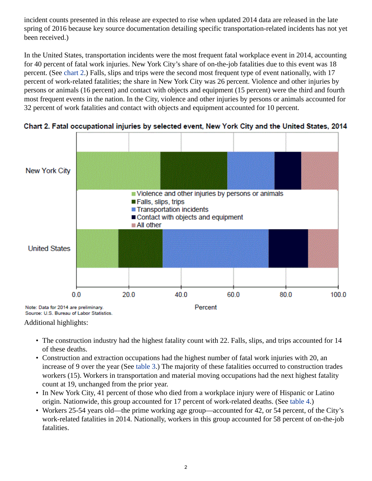incident counts presented in this release are expected to rise when updated 2014 data are released in the late spring of 2016 because key source documentation detailing specific transportation-related incidents has not yet been received.)

In the United States, transportation incidents were the most frequent fatal workplace event in 2014, accounting for 40 percent of fatal work injuries. New York City's share of on-the-job fatalities due to this event was 18 percent. (See [chart 2](#page-1-0).) Falls, slips and trips were the second most frequent type of event nationally, with 17 percent of work-related fatalities; the share in New York City was 26 percent. Violence and other injuries by persons or animals (16 percent) and contact with objects and equipment (15 percent) were the third and fourth most frequent events in the nation. In the City, violence and other injuries by persons or animals accounted for 32 percent of work fatalities and contact with objects and equipment accounted for 10 percent.



<span id="page-1-0"></span>Chart 2. Fatal occupational injuries by selected event, New York City and the United States, 2014

Additional highlights:

- The construction industry had the highest fatality count with 22. Falls, slips, and trips accounted for 14 of these deaths.
- Construction and extraction occupations had the highest number of fatal work injuries with 20, an increase of 9 over the year (See table 3.) The majority of these fatalities occurred to construction trades workers (15). Workers in transportation and material moving occupations had the next highest fatality count at 19, unchanged from the prior year.
- In New York City, 41 percent of those who died from a workplace injury were of Hispanic or Latino origin. Nationwide, this group accounted for 17 percent of work-related deaths. (See table 4.)
- Workers 25-54 years old—the prime working age group—accounted for 42, or 54 percent, of the City's work-related fatalities in 2014. Nationally, workers in this group accounted for 58 percent of on-the-job fatalities.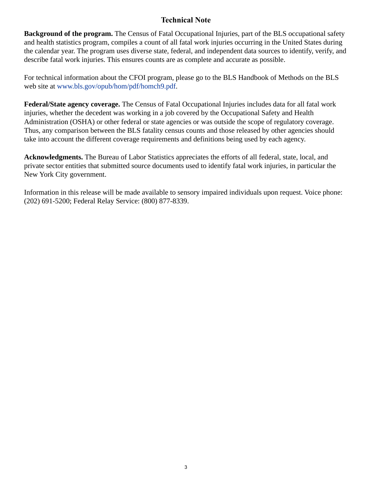## **Technical Note**

**Background of the program.** The Census of Fatal Occupational Injuries, part of the BLS occupational safety and health statistics program, compiles a count of all fatal work injuries occurring in the United States during the calendar year. The program uses diverse state, federal, and independent data sources to identify, verify, and describe fatal work injuries. This ensures counts are as complete and accurate as possible.

For technical information about the CFOI program, please go to the BLS Handbook of Methods on the BLS web site at [www.bls.gov/opub/hom/pdf/homch9.pdf](https://www.bls.gov/opub/hom/pdf/homch9.pdf).

**Federal/State agency coverage.** The Census of Fatal Occupational Injuries includes data for all fatal work injuries, whether the decedent was working in a job covered by the Occupational Safety and Health Administration (OSHA) or other federal or state agencies or was outside the scope of regulatory coverage. Thus, any comparison between the BLS fatality census counts and those released by other agencies should take into account the different coverage requirements and definitions being used by each agency.

**Acknowledgments.** The Bureau of Labor Statistics appreciates the efforts of all federal, state, local, and private sector entities that submitted source documents used to identify fatal work injuries, in particular the New York City government.

Information in this release will be made available to sensory impaired individuals upon request. Voice phone: (202) 691-5200; Federal Relay Service: (800) 877-8339.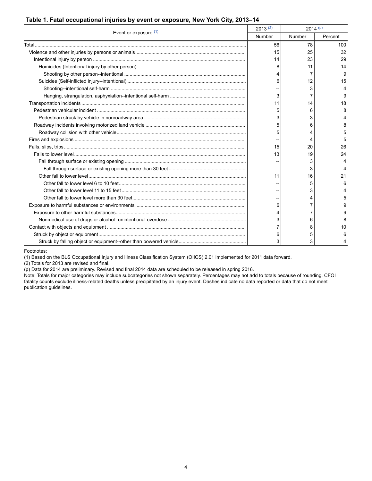#### **Table 1. Fatal occupational injuries by event or exposure, New York City, 2013–14**

| Event or exposure $(1)$ | 2013(2) | $2014^{(p)}$ |         |
|-------------------------|---------|--------------|---------|
|                         | Number  | Number       | Percent |
|                         | 56      | 78           | 100     |
|                         | 15      | 25           | 32      |
|                         | 14      | 23           | 29      |
|                         | 8       | 11           | 14      |
|                         |         | 7            | 9       |
|                         | 6       | 12           | 15      |
|                         |         | 3            |         |
|                         | 3       |              | 9       |
|                         | 11      | 14           | 18      |
|                         | 5       | 6            | я       |
|                         | 3       | 3            |         |
|                         | 5       | 6            |         |
|                         | 5       |              |         |
|                         |         |              |         |
|                         | 15      | 20           | 26      |
|                         | 13      | 19           | 24      |
|                         |         | 3            |         |
|                         |         | 3            |         |
|                         | 11      | 16           | 21      |
|                         |         | 5            | 6       |
|                         |         | 3            |         |
|                         |         | 4            |         |
|                         | 6       |              |         |
|                         |         | 7            |         |
|                         | 3       | 6            |         |
|                         |         | 8            | 10      |
|                         | 6       | 5            | 6       |
|                         | 3       | 3            |         |

Footnotes:

<span id="page-3-0"></span>(1) Based on the BLS Occupational Injury and Illness Classification System (OIICS) 2.01 implemented for 2011 data forward.

<span id="page-3-1"></span>(2) Totals for 2013 are revised and final.

<span id="page-3-2"></span>(p) Data for 2014 are preliminary. Revised and final 2014 data are scheduled to be released in spring 2016.

Note: Totals for major categories may include subcategories not shown separately. Percentages may not add to totals because of rounding. CFOI fatality counts exclude illness-related deaths unless precipitated by an injury event. Dashes indicate no data reported or data that do not meet publication guidelines.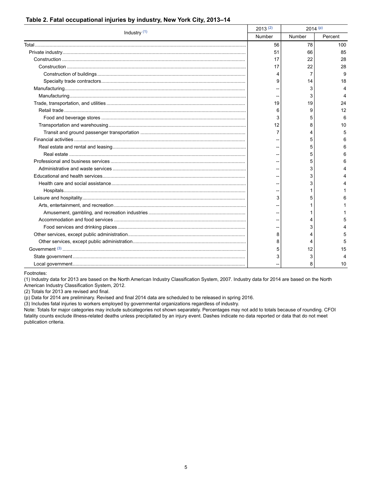| Industry $(1)$ | 2013(2) | $2014^{(p)}$ |        |         |
|----------------|---------|--------------|--------|---------|
|                |         | Number       | Number | Percent |
|                |         | 56           | 78     | 100     |
|                |         | 51           | 66     | 85      |
|                |         | 17           | 22     | 28      |
|                |         | 17           | 22     | 28      |
|                |         |              | 7      | 9       |
|                |         | 9            | 14     | 18      |
|                |         |              | 3      |         |
|                |         |              | 3      |         |
|                |         | 19           | 19     | 24      |
|                |         | 6            | 9      | 12      |
|                |         | 3            | 5      | ĥ       |
|                |         | 12           | 8      | 10      |
|                |         |              | 4      |         |
|                |         |              | 5      |         |
|                |         |              | 5      |         |
|                |         |              | 5      |         |
|                |         |              | 5      |         |
|                |         |              | 3      |         |
|                |         |              | 3      |         |
|                |         |              | 3      |         |
|                |         |              |        |         |
|                |         | 3            | 5      |         |
|                |         |              |        |         |
|                |         |              |        |         |
|                |         |              |        |         |
|                |         |              | 3      |         |
|                |         | 8            |        |         |
|                |         |              | 4      |         |
|                |         |              | 12     | 15      |
|                |         |              | 3      |         |
|                |         |              | 8      | 10      |

#### Table 2. Fatal occupational injuries by industry, New York City, 2013-14

Footnotes:

<span id="page-4-0"></span>(1) Industry data for 2013 are based on the North American Industry Classification System, 2007. Industry data for 2014 are based on the North American Industry Classification System, 2012.

<span id="page-4-1"></span>(2) Totals for 2013 are revised and final.

<span id="page-4-2"></span>(p) Data for 2014 are preliminary. Revised and final 2014 data are scheduled to be released in spring 2016.

<span id="page-4-3"></span>(3) Includes fatal injuries to workers employed by governmental organizations regardless of industry.

Note: Totals for major categories may include subcategories not shown separately. Percentages may not add to totals because of rounding. CFOI fatality counts exclude illness-related deaths unless precipitated by an injury event. Dashes indicate no data reported or data that do not meet publication criteria.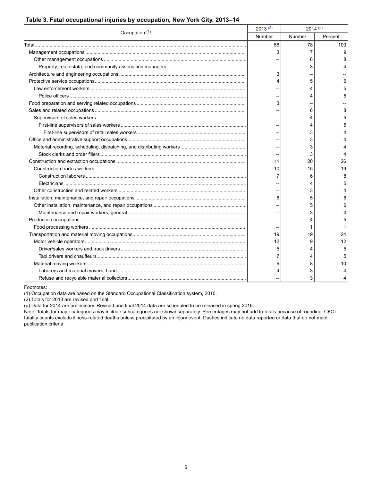#### **Table 3. Fatal occupational injuries by occupation, New York City, 2013–14**

|  | 2013(2)<br>Occupation (1)<br>Number | $2014^{(p)}$ |         |
|--|-------------------------------------|--------------|---------|
|  |                                     | Number       | Percent |
|  | 56                                  | 78           | 100     |
|  | 3                                   | 7            | 9       |
|  |                                     | 6            |         |
|  |                                     | 3            |         |
|  | 3                                   |              |         |
|  |                                     | 5            |         |
|  |                                     | 4            |         |
|  |                                     |              |         |
|  |                                     |              |         |
|  |                                     | 6            |         |
|  |                                     |              |         |
|  |                                     | 4            |         |
|  |                                     | 3            |         |
|  |                                     | 3            |         |
|  |                                     | 3            |         |
|  |                                     | 3            |         |
|  | 11                                  | 20           | 26      |
|  | 10                                  | 15           | 19      |
|  |                                     | 6            | 8       |
|  |                                     | 4            |         |
|  |                                     | 3            |         |
|  | 6                                   | 5            |         |
|  |                                     | 5            |         |
|  |                                     | 3            |         |
|  |                                     |              |         |
|  |                                     |              |         |
|  | 19                                  | 19           | 24      |
|  | 12                                  | 9            | 12      |
|  | 5                                   | 4            | 5       |
|  |                                     |              | 5       |
|  | 6                                   | 8            | 10      |
|  |                                     | 3            |         |
|  |                                     | 3            |         |

Footnotes:

<span id="page-5-0"></span>(1) Occupation data are based on the Standard Occupational Classification system, 2010.

<span id="page-5-1"></span>(2) Totals for 2013 are revised and final.

<span id="page-5-2"></span>(p) Data for 2014 are preliminary. Revised and final 2014 data are scheduled to be released in spring 2016.

Note: Totals for major categories may include subcategories not shown separately. Percentages may not add to totals because of rounding. CFOI fatality counts exclude illness-related deaths unless precipitated by an injury event. Dashes indicate no data reported or data that do not meet publication criteria.